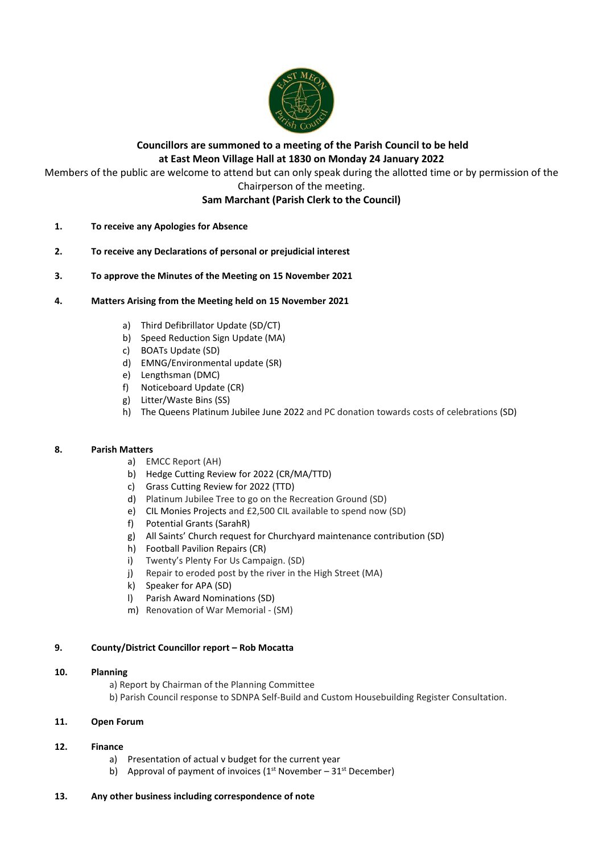

# **Councillors are summoned to a meeting of the Parish Council to be held at East Meon Village Hall at 1830 on Monday 24 January 2022**

Members of the public are welcome to attend but can only speak during the allotted time or by permission of the Chairperson of the meeting.

**Sam Marchant (Parish Clerk to the Council)**

- **1. To receive any Apologies for Absence**
- **2. To receive any Declarations of personal or prejudicial interest**
- **3. To approve the Minutes of the Meeting on 15 November 2021**
- **4. Matters Arising from the Meeting held on 15 November 2021**
	- a) Third Defibrillator Update (SD/CT)
	- b) Speed Reduction Sign Update (MA)
	- c) BOATs Update (SD)
	- d) EMNG/Environmental update (SR)
	- e) Lengthsman (DMC)
	- f) Noticeboard Update (CR)
	- g) Litter/Waste Bins (SS)
	- h) The Queens Platinum Jubilee June 2022 and PC donation towards costs of celebrations (SD)

# **8. Parish Matters**

- a) EMCC Report (AH)
- b) Hedge Cutting Review for 2022 (CR/MA/TTD)
- c) Grass Cutting Review for 2022 (TTD)
- d) Platinum Jubilee Tree to go on the Recreation Ground (SD)
- e) CIL Monies Projects and £2,500 CIL available to spend now (SD)
- f) Potential Grants (SarahR)
- g) All Saints' Church request for Churchyard maintenance contribution (SD)
- h) Football Pavilion Repairs (CR)
- i) Twenty's Plenty For Us Campaign. (SD)
- j) Repair to eroded post by the river in the High Street (MA)
- k) Speaker for APA (SD)
- l) Parish Award Nominations (SD)
- m) Renovation of War Memorial (SM)

# **9. County/District Councillor report – Rob Mocatta**

# **10. Planning**

a) Report by Chairman of the Planning Committee

b) Parish Council response to SDNPA Self-Build and Custom Housebuilding Register Consultation.

# **11. Open Forum**

# **12. Finance**

- a) Presentation of actual v budget for the current year
- b) Approval of payment of invoices ( $1<sup>st</sup>$  November  $31<sup>st</sup>$  December)

# **13. Any other business including correspondence of note**